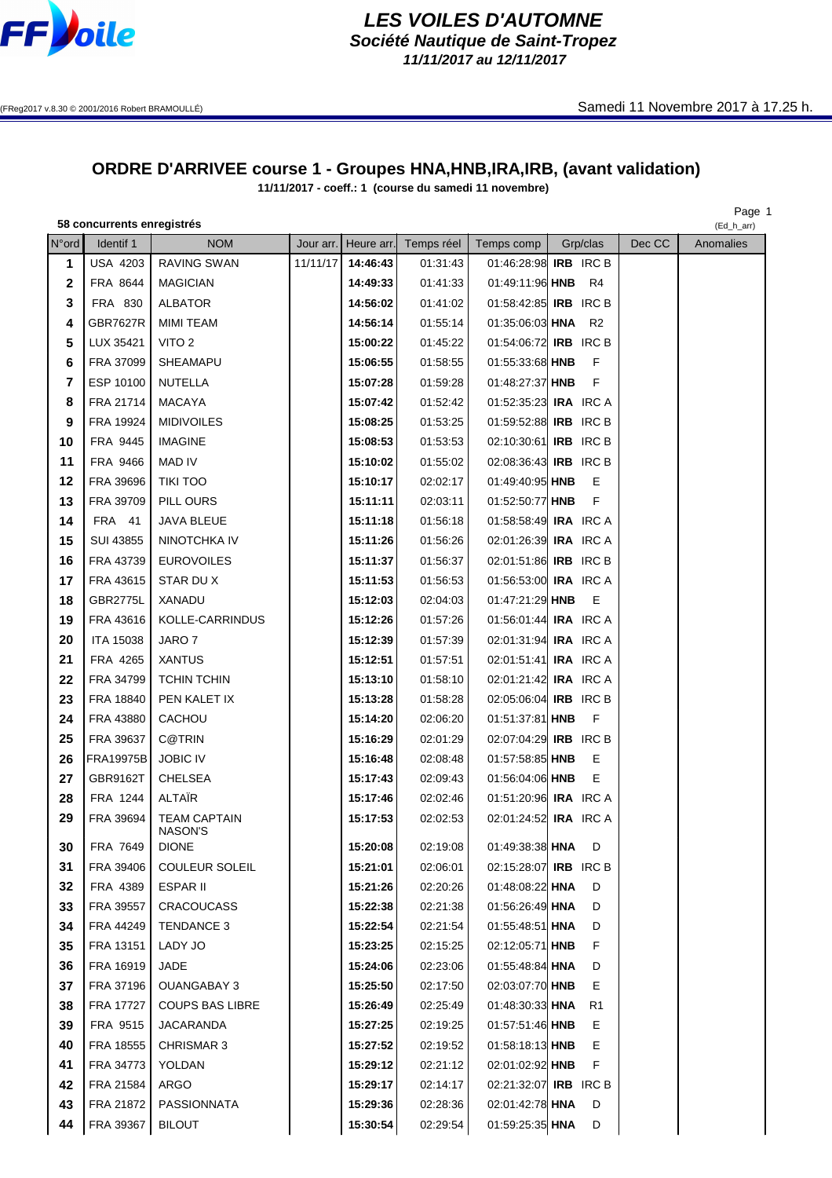

## **LES VOILES D'AUTOMNE Société Nautique de Saint-Tropez**

**11/11/2017 au 12/11/2017**

## **ORDRE D'ARRIVEE course 1 - Groupes HNA,HNB,IRA,IRB, (avant validation)**

**11/11/2017 - coeff.: 1 (course du samedi 11 novembre)**

## **58 concurrents enregistrés**

Page 1<br>(Ed\_h\_arr)

| N°ord          | Identif 1        | <b>NOM</b>                     |          |          | Jour arr.   Heure arr.  Temps réel | Temps comp                   | Grp/clas       | Dec CC | Anomalies |
|----------------|------------------|--------------------------------|----------|----------|------------------------------------|------------------------------|----------------|--------|-----------|
| 1              | <b>USA 4203</b>  | RAVING SWAN                    | 11/11/17 | 14:46:43 | 01:31:43                           | 01:46:28:98 IRB IRC B        |                |        |           |
| 2              | FRA 8644         | <b>MAGICIAN</b>                |          | 14:49:33 | 01:41:33                           | 01:49:11:96 HNB              | R4             |        |           |
| 3              | FRA 830          | <b>ALBATOR</b>                 |          | 14:56:02 | 01:41:02                           | 01:58:42:85 IRB IRC B        |                |        |           |
| 4              | <b>GBR7627R</b>  | <b>MIMI TEAM</b>               |          | 14:56:14 | 01:55:14                           | 01:35:06:03 HNA R2           |                |        |           |
| 5              | LUX 35421        | VITO <sub>2</sub>              |          | 15:00:22 | 01:45:22                           | 01:54:06:72 <b>IRB</b> IRC B |                |        |           |
| 6              | FRA 37099        | SHEAMAPU                       |          | 15:06:55 | 01:58:55                           | 01:55:33:68 HNB              | F              |        |           |
| $\overline{7}$ | ESP 10100        | <b>NUTELLA</b>                 |          | 15:07:28 | 01:59:28                           | 01:48:27:37 HNB              | F              |        |           |
| 8              | FRA 21714        | <b>MACAYA</b>                  |          | 15:07:42 | 01:52:42                           | 01:52:35:23 <b>IRA</b> IRC A |                |        |           |
| 9              | FRA 19924        | <b>MIDIVOILES</b>              |          | 15:08:25 | 01:53:25                           | 01:59:52:88 <b>IRB</b> IRC B |                |        |           |
| 10             | FRA 9445         | <b>IMAGINE</b>                 |          | 15:08:53 | 01:53:53                           | 02:10:30:61 IRB IRC B        |                |        |           |
| 11             | FRA 9466         | <b>MAD IV</b>                  |          | 15:10:02 | 01:55:02                           | 02:08:36:43 <b>IRB</b> IRC B |                |        |           |
| 12             | FRA 39696        | <b>TIKI TOO</b>                |          | 15:10:17 | 02:02:17                           | 01:49:40:95 HNB              | Е              |        |           |
| 13             | FRA 39709        | PILL OURS                      |          | 15:11:11 | 02:03:11                           | 01:52:50:77 HNB              | F              |        |           |
| 14             | FRA 41           | JAVA BLEUE                     |          | 15:11:18 | 01:56:18                           | 01:58:58:49 <b>IRA</b> IRC A |                |        |           |
| 15             | <b>SUI 43855</b> | NINOTCHKA IV                   |          | 15:11:26 | 01:56:26                           | 02:01:26:39 <b>IRA</b> IRC A |                |        |           |
| 16             | FRA 43739        | <b>EUROVOILES</b>              |          | 15:11:37 | 01:56:37                           | 02:01:51:86 IRB IRC B        |                |        |           |
| 17             | FRA 43615        | STAR DUX                       |          | 15:11:53 | 01:56:53                           | 01:56:53:00 IRA IRC A        |                |        |           |
| 18             | <b>GBR2775L</b>  | XANADU                         |          | 15:12:03 | 02:04:03                           | 01:47:21:29 HNB              | Е              |        |           |
| 19             | FRA 43616        | KOLLE-CARRINDUS                |          | 15:12:26 | 01:57:26                           | 01:56:01:44 <b>IRA</b> IRC A |                |        |           |
| 20             | <b>ITA 15038</b> | JARO 7                         |          | 15:12:39 | 01:57:39                           | 02:01:31:94 <b>IRA</b> IRC A |                |        |           |
| 21             | FRA 4265         | <b>XANTUS</b>                  |          | 15:12:51 | 01:57:51                           | 02:01:51:41 <b>IRA</b> IRC A |                |        |           |
| 22             | FRA 34799        | <b>TCHIN TCHIN</b>             |          | 15:13:10 | 01:58:10                           | 02:01:21:42 <b>IRA</b> IRC A |                |        |           |
| 23             | FRA 18840        | PEN KALET IX                   |          | 15:13:28 | 01:58:28                           | 02:05:06:04 <b>IRB</b> IRC B |                |        |           |
| 24             | FRA 43880        | CACHOU                         |          | 15:14:20 | 02:06:20                           | 01:51:37:81 HNB              | F              |        |           |
| 25             | FRA 39637        | <b>C@TRIN</b>                  |          | 15:16:29 | 02:01:29                           | 02:07:04:29 IRB IRC B        |                |        |           |
| 26             | <b>FRA19975B</b> | <b>JOBIC IV</b>                |          | 15:16:48 | 02:08:48                           | 01:57:58:85 HNB              | Е              |        |           |
| 27             | GBR9162T         | <b>CHELSEA</b>                 |          | 15:17:43 | 02:09:43                           | 01:56:04:06 HNB              | Е              |        |           |
| 28             | FRA 1244         | ALTAÏR                         |          | 15:17:46 | 02:02:46                           | 01:51:20:96 <b>IRA</b> IRC A |                |        |           |
| 29             | FRA 39694        | <b>TEAM CAPTAIN</b><br>NASON'S |          | 15:17:53 | 02:02:53                           | 02:01:24:52 <b>IRA</b> IRC A |                |        |           |
| 30             | FRA 7649         | <b>DIONE</b>                   |          | 15:20:08 | 02:19:08                           | 01:49:38:38 HNA              | D              |        |           |
| 31             | FRA 39406        | <b>COULEUR SOLEIL</b>          |          | 15:21:01 | 02:06:01                           | 02:15:28:07 IRB IRC B        |                |        |           |
| 32             | FRA 4389         | ESPAR II                       |          | 15:21:26 | 02:20:26                           | 01:48:08:22 HNA              | D              |        |           |
| 33             | FRA 39557        | CRACOUCASS                     |          | 15:22:38 | 02:21:38                           | 01:56:26:49 HNA              | D              |        |           |
| 34             | FRA 44249        | TENDANCE 3                     |          | 15:22:54 | 02:21:54                           | 01:55:48:51 HNA              | D              |        |           |
| 35             | FRA 13151        | LADY JO                        |          | 15:23:25 | 02:15:25                           | 02:12:05:71 HNB              | F              |        |           |
| 36             | FRA 16919        | JADE                           |          | 15:24:06 | 02:23:06                           | 01:55:48:84 HNA              | D              |        |           |
| 37             | FRA 37196        | <b>OUANGABAY 3</b>             |          | 15:25:50 | 02:17:50                           | 02:03:07:70 HNB              | Е              |        |           |
| 38             | FRA 17727        | <b>COUPS BAS LIBRE</b>         |          | 15:26:49 | 02:25:49                           | 01:48:30:33 HNA              | R <sub>1</sub> |        |           |
| 39             | FRA 9515         | <b>JACARANDA</b>               |          | 15:27:25 | 02:19:25                           | 01:57:51:46 HNB              | Е              |        |           |
| 40             | FRA 18555        | CHRISMAR 3                     |          | 15:27:52 | 02:19:52                           | 01:58:18:13 HNB              | Е              |        |           |
| 41             | FRA 34773        | YOLDAN                         |          | 15:29:12 | 02:21:12                           | 02:01:02:92 HNB              | F              |        |           |
| 42             | FRA 21584        | ARGO                           |          | 15:29:17 | 02:14:17                           | 02:21:32:07 IRB IRC B        |                |        |           |
| 43             | FRA 21872        | PASSIONNATA                    |          | 15:29:36 | 02:28:36                           | 02:01:42:78 HNA              | D              |        |           |
| 44             | FRA 39367        | <b>BILOUT</b>                  |          | 15:30:54 | 02:29:54                           | 01:59:25:35 HNA              | D              |        |           |